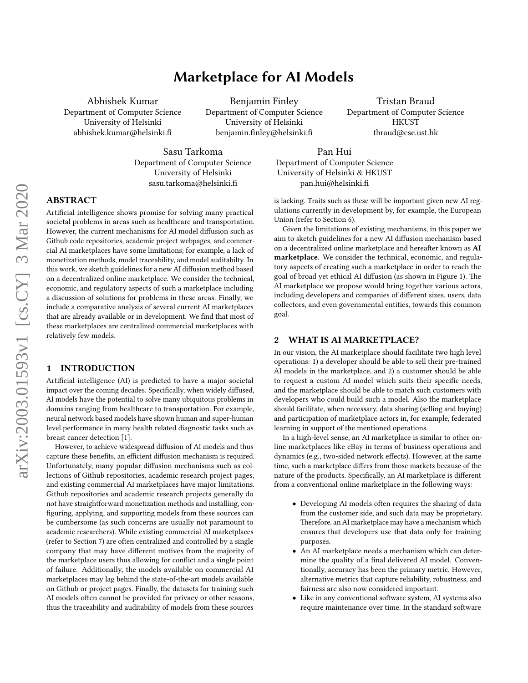# Marketplace for AI Models

Abhishek Kumar Department of Computer Science University of Helsinki abhishek.kumar@helsinki.

Benjamin Finley Department of Computer Science University of Helsinki benjamin.finley@helsinki.fi

Tristan Braud Department of Computer Science **HKUST** tbraud@cse.ust.hk

Sasu Tarkoma Department of Computer Science University of Helsinki sasu.tarkoma@helsinki.

Pan Hui Department of Computer Science University of Helsinki & HKUST pan.hui@helsinki.

# ABSTRACT

Artificial intelligence shows promise for solving many practical societal problems in areas such as healthcare and transportation. However, the current mechanisms for AI model diffusion such as Github code repositories, academic project webpages, and commercial AI marketplaces have some limitations; for example, a lack of monetization methods, model traceability, and model auditabilty. In this work, we sketch guidelines for a new AI diffusion method based on a decentralized online marketplace. We consider the technical, economic, and regulatory aspects of such a marketplace including a discussion of solutions for problems in these areas. Finally, we include a comparative analysis of several current AI marketplaces that are already available or in development. We find that most of these marketplaces are centralized commercial marketplaces with relatively few models.

## 1 INTRODUCTION

Artificial intelligence (AI) is predicted to have a major societal impact over the coming decades. Specifically, when widely diffused, AI models have the potential to solve many ubiquitous problems in domains ranging from healthcare to transportation. For example, neural network based models have shown human and super-human level performance in many health related diagnostic tasks such as breast cancer detection [\[1\]](#page-6-0).

However, to achieve widespread diffusion of AI models and thus capture these benefits, an efficient diffusion mechanism is required. Unfortunately, many popular diffusion mechanisms such as collections of Github repositories, academic research project pages, and existing commercial AI marketplaces have major limitations. Github repositories and academic research projects generally do not have straightforward monetization methods and installing, con figuring, applying, and supporting models from these sources can be cumbersome (as such concerns are usually not paramount to academic researchers). While existing commercial AI marketplaces (refer to Section [7\)](#page-5-0) are often centralized and controlled by a single company that may have different motives from the majority of the marketplace users thus allowing for conflict and a single point of failure. Additionally, the models available on commercial AI marketplaces may lag behind the state-of-the-art models available on Github or project pages. Finally, the datasets for training such AI models often cannot be provided for privacy or other reasons, thus the traceability and auditability of models from these sources

is lacking. Traits such as these will be important given new AI regulations currently in development by, for example, the European Union (refer to Section [6\)](#page-4-0).

Given the limitations of existing mechanisms, in this paper we aim to sketch guidelines for a new AI diffusion mechanism based on a decentralized online marketplace and hereafter known as AI marketplace. We consider the technical, economic, and regulatory aspects of creating such a marketplace in order to reach the goal of broad yet ethical AI diffusion (as shown in Figure [1\)](#page-3-0). The AI marketplace we propose would bring together various actors, including developers and companies of different sizes, users, data collectors, and even governmental entities, towards this common goal.

## 2 WHAT IS AI MARKETPLACE?

In our vision, the AI marketplace should facilitate two high level operations: 1) a developer should be able to sell their pre-trained AI models in the marketplace, and 2) a customer should be able to request a custom AI model which suits their specific needs, and the marketplace should be able to match such customers with developers who could build such a model. Also the marketplace should facilitate, when necessary, data sharing (selling and buying) and participation of marketplace actors in, for example, federated learning in support of the mentioned operations.

In a high-level sense, an AI marketplace is similar to other online marketplaces like eBay in terms of business operations and dynamics (e.g., two-sided network effects). However, at the same time, such a marketplace differs from those markets because of the nature of the products. Specifically, an AI marketplace is different from a conventional online marketplace in the following ways:

- Developing AI models often requires the sharing of data from the customer side, and such data may be proprietary. Therefore, an AI marketplace may have a mechanism which ensures that developers use that data only for training purposes.
- An AI marketplace needs a mechanism which can determine the quality of a final delivered AI model. Conventionally, accuracy has been the primary metric. However, alternative metrics that capture reliability, robustness, and fairness are also now considered important.
- Like in any conventional software system, AI systems also require maintenance over time. In the standard software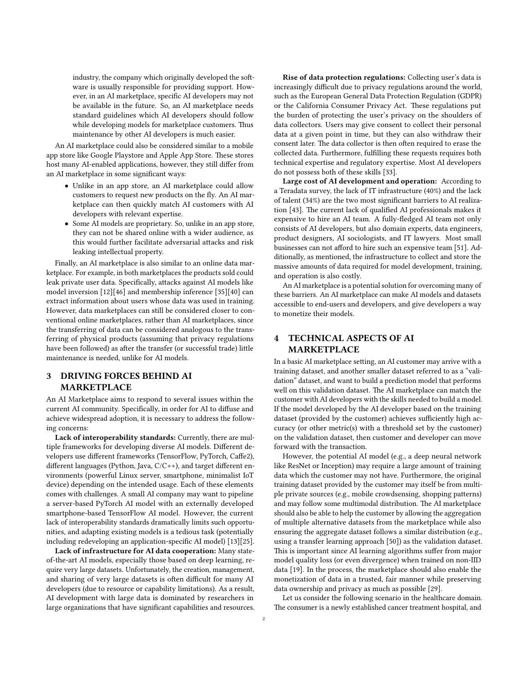industry, the company which originally developed the software is usually responsible for providing support. However, in an AI marketplace, specific AI developers may not be available in the future. So, an AI marketplace needs standard guidelines which AI developers should follow while developing models for marketplace customers. Thus maintenance by other AI developers is much easier.

An AI marketplace could also be considered similar to a mobile app store like Google Playstore and Apple App Store. These stores host many AI-enabled applications, however, they still differ from an AI marketplace in some significant ways:

- Unlike in an app store, an AI marketplace could allow customers to request new products on the fly. An AI marketplace can then quickly match AI customers with AI developers with relevant expertise.
- Some AI models are proprietary. So, unlike in an app store, they can not be shared online with a wider audience, as this would further facilitate adversarial attacks and risk leaking intellectual property.

Finally, an AI marketplace is also similar to an online data marketplace. For example, in both marketplaces the products sold could leak private user data. Specifically, attacks against AI models like model inversion [\[12\]](#page-7-0)[\[46\]](#page-7-1) and membership inference [\[35\]](#page-7-2)[\[40\]](#page-7-3) can extract information about users whose data was used in training. However, data marketplaces can still be considered closer to conventional online marketplaces, rather than AI marketplaces, since the transferring of data can be considered analogous to the transferring of physical products (assuming that privacy regulations have been followed) as after the transfer (or successful trade) little maintenance is needed, unlike for AI models.

# 3 DRIVING FORCES BEHIND AI MARKETPLACE

An AI Marketplace aims to respond to several issues within the current AI community. Specifically, in order for AI to diffuse and achieve widespread adoption, it is necessary to address the following concerns:

Lack of interoperability standards: Currently, there are multiple frameworks for developing diverse AI models. Different developers use different frameworks (TensorFlow, PyTorch, Caffe2), different languages (Python, Java,  $C/C++$ ), and target different environments (powerful Linux server, smartphone, minimalist IoT device) depending on the intended usage. Each of these elements comes with challenges. A small AI company may want to pipeline a server-based PyTorch AI model with an externally developed smartphone-based TensorFlow AI model. However, the current lack of interoperability standards dramatically limits such opportunities, and adapting existing models is a tedious task (potentially including redeveloping an application-specific AI model) [\[13\]](#page-7-4)[\[25\]](#page-7-5).

Lack of infrastructure for AI data cooperation: Many stateof-the-art AI models, especially those based on deep learning, require very large datasets. Unfortunately, the creation, management, and sharing of very large datasets is often difficult for many AI developers (due to resource or capability limitations). As a result, AI development with large data is dominated by researchers in large organizations that have significant capabilities and resources.

Rise of data protection regulations: Collecting user's data is increasingly difficult due to privacy regulations around the world, such as the European General Data Protection Regulation (GDPR) or the California Consumer Privacy Act. These regulations put the burden of protecting the user's privacy on the shoulders of data collectors. Users may give consent to collect their personal data at a given point in time, but they can also withdraw their consent later. The data collector is then often required to erase the collected data. Furthermore, fullling these requests requires both technical expertise and regulatory expertise. Most AI developers do not possess both of these skills [\[33\]](#page-7-6).

Large cost of AI development and operation: According to a Teradata survey, the lack of IT infrastructure (40%) and the lack of talent (34%) are the two most significant barriers to AI realiza-tion [\[43\]](#page-7-7). The current lack of qualified AI professionals makes it expensive to hire an AI team. A fully-fledged AI team not only consists of AI developers, but also domain experts, data engineers, product designers, AI sociologists, and IT lawyers. Most small businesses can not afford to hire such an expensive team [\[51\]](#page-7-8). Additionally, as mentioned, the infrastructure to collect and store the massive amounts of data required for model development, training, and operation is also costly.

An AI marketplace is a potential solution for overcoming many of these barriers. An AI marketplace can make AI models and datasets accessible to end-users and developers, and give developers a way to monetize their models.

# <span id="page-1-0"></span>4 TECHNICAL ASPECTS OF AI MARKETPLACE

In a basic AI marketplace setting, an AI customer may arrive with a training dataset, and another smaller dataset referred to as a "validation" dataset, and want to build a prediction model that performs well on this validation dataset. The AI marketplace can match the customer with AI developers with the skills needed to build a model. If the model developed by the AI developer based on the training dataset (provided by the customer) achieves sufficiently high accuracy (or other metric(s) with a threshold set by the customer) on the validation dataset, then customer and developer can move forward with the transaction.

However, the potential AI model (e.g., a deep neural network like ResNet or Inception) may require a large amount of training data which the customer may not have. Furthermore, the original training dataset provided by the customer may itself be from multiple private sources (e.g., mobile crowdsensing, shopping patterns) and may follow some multimodal distribution. The AI marketplace should also be able to help the customer by allowing the aggregation of multiple alternative datasets from the marketplace while also ensuring the aggregate dataset follows a similar distribution (e.g., using a transfer learning approach [\[50\]](#page-7-9)) as the validation dataset. This is important since AI learning algorithms suffer from major model quality loss (or even divergence) when trained on non-IID data [\[19\]](#page-7-10). In the process, the marketplace should also enable the monetization of data in a trusted, fair manner while preserving data ownership and privacy as much as possible [\[29\]](#page-7-11).

Let us consider the following scenario in the healthcare domain. The consumer is a newly established cancer treatment hospital, and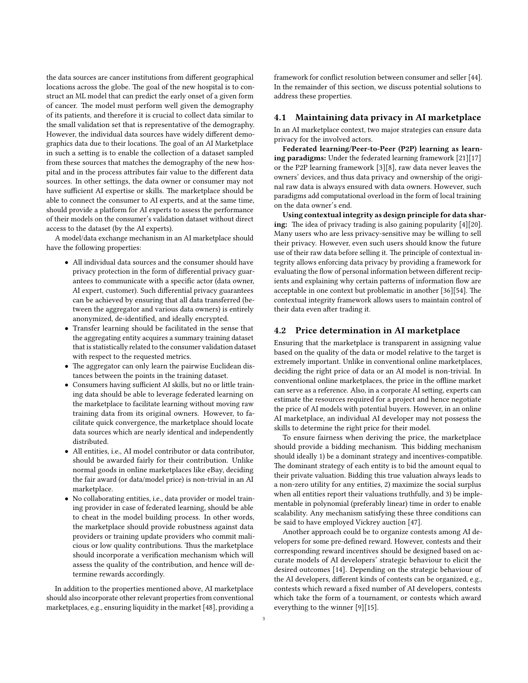the data sources are cancer institutions from different geographical locations across the globe. The goal of the new hospital is to construct an ML model that can predict the early onset of a given form of cancer. The model must perform well given the demography of its patients, and therefore it is crucial to collect data similar to the small validation set that is representative of the demography. However, the individual data sources have widely different demographics data due to their locations. The goal of an AI Marketplace in such a setting is to enable the collection of a dataset sampled from these sources that matches the demography of the new hospital and in the process attributes fair value to the different data sources. In other settings, the data owner or consumer may not have sufficient AI expertise or skills. The marketplace should be able to connect the consumer to AI experts, and at the same time, should provide a platform for AI experts to assess the performance of their models on the consumer's validation dataset without direct access to the dataset (by the AI experts).

A model/data exchange mechanism in an AI marketplace should have the following properties:

- All individual data sources and the consumer should have privacy protection in the form of differential privacy guarantees to communicate with a specific actor (data owner, AI expert, customer). Such differential privacy guarantees can be achieved by ensuring that all data transferred (between the aggregator and various data owners) is entirely anonymized, de-identified, and ideally encrypted.
- Transfer learning should be facilitated in the sense that the aggregating entity acquires a summary training dataset that is statistically related to the consumer validation dataset with respect to the requested metrics.
- The aggregator can only learn the pairwise Euclidean distances between the points in the training dataset.
- Consumers having sufficient AI skills, but no or little training data should be able to leverage federated learning on the marketplace to facilitate learning without moving raw training data from its original owners. However, to facilitate quick convergence, the marketplace should locate data sources which are nearly identical and independently distributed.
- All entities, i.e., AI model contributor or data contributor, should be awarded fairly for their contribution. Unlike normal goods in online marketplaces like eBay, deciding the fair award (or data/model price) is non-trivial in an AI marketplace.
- No collaborating entities, i.e., data provider or model training provider in case of federated learning, should be able to cheat in the model building process. In other words, the marketplace should provide robustness against data providers or training update providers who commit malicious or low quality contributions. Thus the marketplace should incorporate a verification mechanism which will assess the quality of the contribution, and hence will determine rewards accordingly.

In addition to the properties mentioned above, AI marketplace should also incorporate other relevant properties from conventional marketplaces, e.g., ensuring liquidity in the market [\[48\]](#page-7-12), providing a framework for conflict resolution between consumer and seller [\[44\]](#page-7-13). In the remainder of this section, we discuss potential solutions to address these properties.

#### 4.1 Maintaining data privacy in AI marketplace

In an AI marketplace context, two major strategies can ensure data privacy for the involved actors.

Federated learning/Peer-to-Peer (P2P) learning as learning paradigms: Under the federated learning framework [\[21\]](#page-7-14)[\[17\]](#page-7-15) or the P2P learning framework [\[3\]](#page-6-1)[\[8\]](#page-7-16), raw data never leaves the owners' devices, and thus data privacy and ownership of the original raw data is always ensured with data owners. However, such paradigms add computational overload in the form of local training on the data owner's end.

Using contextual integrity as design principle for data shar-ing: The idea of privacy trading is also gaining popularity [\[4\]](#page-6-2)[\[20\]](#page-7-17). Many users who are less privacy-sensitive may be willing to sell their privacy. However, even such users should know the future use of their raw data before selling it. The principle of contextual integrity allows enforcing data privacy by providing a framework for evaluating the flow of personal information between different recipients and explaining why certain patterns of information flow are acceptable in one context but problematic in another  $[36][54]$  $[36][54]$ . The contextual integrity framework allows users to maintain control of their data even after trading it.

#### 4.2 Price determination in AI marketplace

Ensuring that the marketplace is transparent in assigning value based on the quality of the data or model relative to the target is extremely important. Unlike in conventional online marketplaces, deciding the right price of data or an AI model is non-trivial. In conventional online marketplaces, the price in the offline market can serve as a reference. Also, in a corporate AI setting, experts can estimate the resources required for a project and hence negotiate the price of AI models with potential buyers. However, in an online AI marketplace, an individual AI developer may not possess the skills to determine the right price for their model.

To ensure fairness when deriving the price, the marketplace should provide a bidding mechanism. This bidding mechanism should ideally 1) be a dominant strategy and incentives-compatible. The dominant strategy of each entity is to bid the amount equal to their private valuation. Bidding this true valuation always leads to a non-zero utility for any entities, 2) maximize the social surplus when all entities report their valuations truthfully, and 3) be implementable in polynomial (preferably linear) time in order to enable scalability. Any mechanism satisfying these three conditions can be said to have employed Vickrey auction [\[47\]](#page-7-20).

Another approach could be to organize contests among AI developers for some pre-defined reward. However, contests and their corresponding reward incentives should be designed based on accurate models of AI developers' strategic behaviour to elicit the desired outcomes [\[14\]](#page-7-21). Depending on the strategic behaviour of the AI developers, different kinds of contests can be organized, e.g., contests which reward a fixed number of AI developers, contests which take the form of a tournament, or contests which award everything to the winner [\[9\]](#page-7-22)[\[15\]](#page-7-23).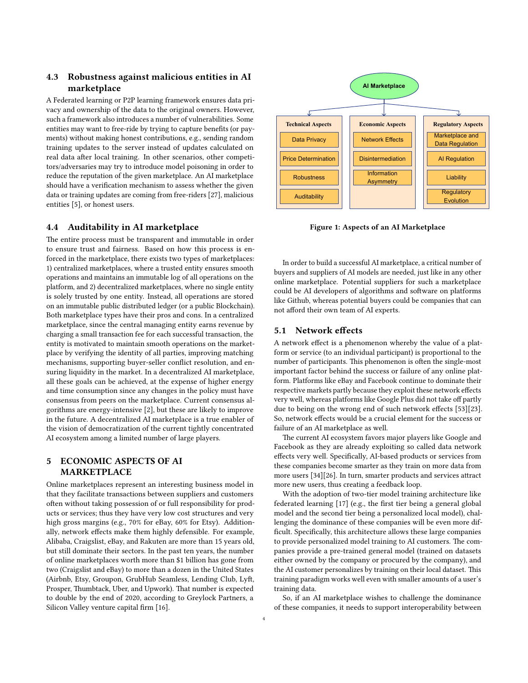## 4.3 Robustness against malicious entities in AI marketplace

A Federated learning or P2P learning framework ensures data privacy and ownership of the data to the original owners. However, such a framework also introduces a number of vulnerabilities. Some entities may want to free-ride by trying to capture benefits (or payments) without making honest contributions, e.g., sending random training updates to the server instead of updates calculated on real data after local training. In other scenarios, other competitors/adversaries may try to introduce model poisoning in order to reduce the reputation of the given marketplace. An AI marketplace should have a verification mechanism to assess whether the given data or training updates are coming from free-riders [\[27\]](#page-7-24), malicious entities [\[5\]](#page-6-3), or honest users.

## 4.4 Auditability in AI marketplace

The entire process must be transparent and immutable in order to ensure trust and fairness. Based on how this process is enforced in the marketplace, there exists two types of marketplaces: 1) centralized marketplaces, where a trusted entity ensures smooth operations and maintains an immutable log of all operations on the platform, and 2) decentralized marketplaces, where no single entity is solely trusted by one entity. Instead, all operations are stored on an immutable public distributed ledger (or a public Blockchain). Both marketplace types have their pros and cons. In a centralized marketplace, since the central managing entity earns revenue by charging a small transaction fee for each successful transaction, the entity is motivated to maintain smooth operations on the marketplace by verifying the identity of all parties, improving matching mechanisms, supporting buyer-seller conflict resolution, and ensuring liquidity in the market. In a decentralized AI marketplace, all these goals can be achieved, at the expense of higher energy and time consumption since any changes in the policy must have consensus from peers on the marketplace. Current consensus algorithms are energy-intensive [\[2\]](#page-6-4), but these are likely to improve in the future. A decentralized AI marketplace is a true enabler of the vision of democratization of the current tightly concentrated AI ecosystem among a limited number of large players.

# 5 ECONOMIC ASPECTS OF AI MARKETPLACE

Online marketplaces represent an interesting business model in that they facilitate transactions between suppliers and customers often without taking possession of or full responsibility for products or services; thus they have very low cost structures and very high gross margins (e.g., 70% for eBay, 60% for Etsy). Additionally, network effects make them highly defensible. For example, Alibaba, Craigslist, eBay, and Rakuten are more than 15 years old, but still dominate their sectors. In the past ten years, the number of online marketplaces worth more than \$1 billion has gone from two (Craigslist and eBay) to more than a dozen in the United States (Airbnb, Etsy, Groupon, GrubHub Seamless, Lending Club, Lyft, Prosper, Thumbtack, Uber, and Upwork). That number is expected to double by the end of 2020, according to Greylock Partners, a Silicon Valley venture capital firm [\[16\]](#page-7-25).

<span id="page-3-0"></span>

Figure 1: Aspects of an AI Marketplace

In order to build a successful AI marketplace, a critical number of buyers and suppliers of AI models are needed, just like in any other online marketplace. Potential suppliers for such a marketplace could be AI developers of algorithms and software on platforms like Github, whereas potential buyers could be companies that can not afford their own team of AI experts.

#### 5.1 Network effects

A network effect is a phenomenon whereby the value of a platform or service (to an individual participant) is proportional to the number of participants. This phenomenon is often the single-most important factor behind the success or failure of any online platform. Platforms like eBay and Facebook continue to dominate their respective markets partly because they exploit these network effects very well, whereas platforms like Google Plus did not take off partly due to being on the wrong end of such network effects [\[53\]](#page-7-26)[\[23\]](#page-7-27). So, network effects would be a crucial element for the success or failure of an AI marketplace as well.

more users [\[34\]](#page-7-28)[\[26\]](#page-7-29). In turn, smarter products and services attract The current AI ecosystem favors major players like Google and Facebook as they are already exploiting so called data network effects very well. Specifically, AI-based products or services from these companies become smarter as they train on more data from more new users, thus creating a feedback loop.

> With the adoption of two-tier model training architecture like federated learning [\[17\]](#page-7-15) (e.g., the first tier being a general global model and the second tier being a personalized local model), challenging the dominance of these companies will be even more dif ficult. Specifically, this architecture allows these large companies to provide personalized model training to AI customers. The companies provide a pre-trained general model (trained on datasets either owned by the company or procured by the company), and the AI customer personalizes by training on their local dataset. This training paradigm works well even with smaller amounts of a user's training data.

> So, if an AI marketplace wishes to challenge the dominance of these companies, it needs to support interoperability between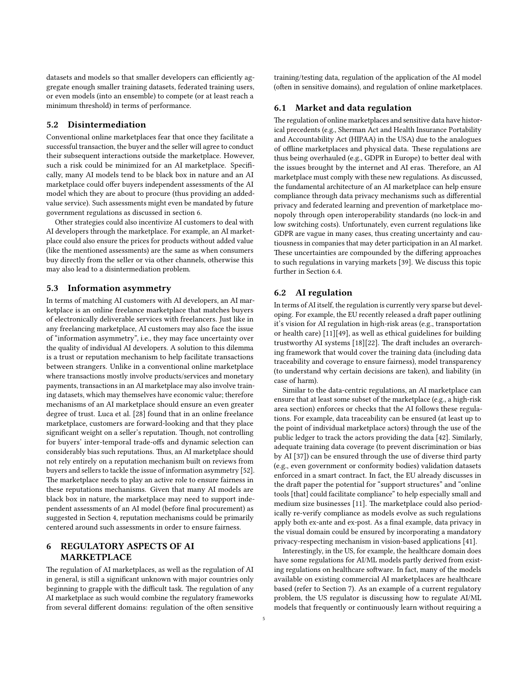datasets and models so that smaller developers can efficiently aggregate enough smaller training datasets, federated training users, or even models (into an ensemble) to compete (or at least reach a minimum threshold) in terms of performance.

## 5.2 Disintermediation

Conventional online marketplaces fear that once they facilitate a successful transaction, the buyer and the seller will agree to conduct their subsequent interactions outside the marketplace. However, such a risk could be minimized for an AI marketplace. Specifically, many AI models tend to be black box in nature and an AI marketplace could offer buyers independent assessments of the AI model which they are about to procure (thus providing an addedvalue service). Such assessments might even be mandated by future government regulations as discussed in section [6.](#page-4-0)

Other strategies could also incentivize AI customers to deal with AI developers through the marketplace. For example, an AI marketplace could also ensure the prices for products without added value (like the mentioned assessments) are the same as when consumers buy directly from the seller or via other channels, otherwise this may also lead to a disintermediation problem.

## 5.3 Information asymmetry

In terms of matching AI customers with AI developers, an AI marketplace is an online freelance marketplace that matches buyers of electronically deliverable services with freelancers. Just like in any freelancing marketplace, AI customers may also face the issue of "information asymmetry", i.e., they may face uncertainty over the quality of individual AI developers. A solution to this dilemma is a trust or reputation mechanism to help facilitate transactions between strangers. Unlike in a conventional online marketplace where transactions mostly involve products/services and monetary payments, transactions in an AI marketplace may also involve training datasets, which may themselves have economic value; therefore mechanisms of an AI marketplace should ensure an even greater degree of trust. Luca et al. [\[28\]](#page-7-30) found that in an online freelance marketplace, customers are forward-looking and that they place significant weight on a seller's reputation. Though, not controlling for buyers' inter-temporal trade-offs and dynamic selection can considerably bias such reputations. Thus, an AI marketplace should not rely entirely on a reputation mechanism built on reviews from buyers and sellers to tackle the issue of information asymmetry [\[52\]](#page-7-31). The marketplace needs to play an active role to ensure fairness in these reputations mechanisms. Given that many AI models are black box in nature, the marketplace may need to support independent assessments of an AI model (before final procurement) as suggested in Section [4,](#page-1-0) reputation mechanisms could be primarily centered around such assessments in order to ensure fairness.

# <span id="page-4-0"></span>6 REGULATORY ASPECTS OF AI MARKETPLACE

The regulation of AI marketplaces, as well as the regulation of AI in general, is still a significant unknown with major countries only beginning to grapple with the difficult task. The regulation of any AI marketplace as such would combine the regulatory frameworks from several different domains: regulation of the often sensitive training/testing data, regulation of the application of the AI model (often in sensitive domains), and regulation of online marketplaces.

## 6.1 Market and data regulation

The regulation of online marketplaces and sensitive data have historical precedents (e.g., Sherman Act and Health Insurance Portability and Accountability Act (HIPAA) in the USA) due to the analogues of offline marketplaces and physical data. These regulations are thus being overhauled (e.g., GDPR in Europe) to better deal with the issues brought by the internet and AI eras. Therefore, an AI marketplace must comply with these new regulations. As discussed, the fundamental architecture of an AI marketplace can help ensure compliance through data privacy mechanisms such as differential privacy and federated learning and prevention of marketplace monopoly through open interoperability standards (no lock-in and low switching costs). Unfortunately, even current regulations like GDPR are vague in many cases, thus creating uncertainty and cautiousness in companies that may deter participation in an AI market. These uncertainties are compounded by the differing approaches to such regulations in varying markets [\[39\]](#page-7-32). We discuss this topic further in Section [6.4.](#page-5-1)

## 6.2 AI regulation

In terms of AI itself, the regulation is currently very sparse but developing. For example, the EU recently released a draft paper outlining it's vision for AI regulation in high-risk areas (e.g., transportation or health care) [\[11\]](#page-7-33)[\[49\]](#page-7-34), as well as ethical guidelines for building trustworthy AI systems  $[18][22]$  $[18][22]$ . The draft includes an overarching framework that would cover the training data (including data traceability and coverage to ensure fairness), model transparency (to understand why certain decisions are taken), and liability (in case of harm).

Similar to the data-centric regulations, an AI marketplace can ensure that at least some subset of the marketplace (e.g., a high-risk area section) enforces or checks that the AI follows these regulations. For example, data traceability can be ensured (at least up to the point of individual marketplace actors) through the use of the public ledger to track the actors providing the data [\[42\]](#page-7-37). Similarly, adequate training data coverage (to prevent discrimination or bias by AI [\[37\]](#page-7-38)) can be ensured through the use of diverse third party (e.g., even government or conformity bodies) validation datasets enforced in a smart contract. In fact, the EU already discusses in the draft paper the potential for "support structures" and "online tools [that] could facilitate compliance" to help especially small and medium size businesses [\[11\]](#page-7-33). The marketplace could also periodically re-verify compliance as models evolve as such regulations apply both ex-ante and ex-post. As a final example, data privacy in the visual domain could be ensured by incorporating a mandatory privacy-respecting mechanism in vision-based applications [\[41\]](#page-7-39).

Interestingly, in the US, for example, the healthcare domain does have some regulations for AI/ML models partly derived from existing regulations on healthcare software. In fact, many of the models available on existing commercial AI marketplaces are healthcare based (refer to Section [7\)](#page-5-0). As an example of a current regulatory problem, the US regulator is discussing how to regulate AI/ML models that frequently or continuously learn without requiring a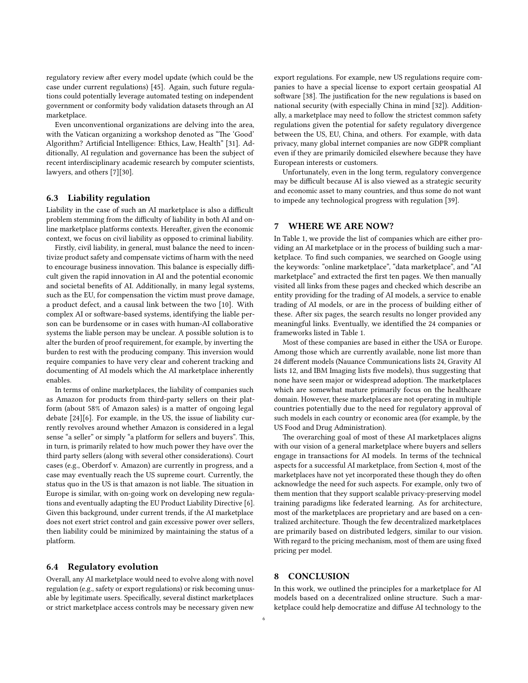regulatory review after every model update (which could be the case under current regulations) [\[45\]](#page-7-40). Again, such future regulations could potentially leverage automated testing on independent government or conformity body validation datasets through an AI marketplace.

Even unconventional organizations are delving into the area, with the Vatican organizing a workshop denoted as "The 'Good' Algorithm? Artificial Intelligence: Ethics, Law, Health" [\[31\]](#page-7-41). Additionally, AI regulation and governance has been the subject of recent interdisciplinary academic research by computer scientists, lawyers, and others [\[7\]](#page-6-5)[\[30\]](#page-7-42).

#### 6.3 Liability regulation

Liability in the case of such an AI marketplace is also a difficult problem stemming from the difficulty of liability in both AI and online marketplace platforms contexts. Hereafter, given the economic context, we focus on civil liability as opposed to criminal liability.

Firstly, civil liability, in general, must balance the need to incentivize product safety and compensate victims of harm with the need to encourage business innovation. This balance is especially difficult given the rapid innovation in AI and the potential economic and societal benefits of AI. Additionally, in many legal systems, such as the EU, for compensation the victim must prove damage, a product defect, and a causal link between the two [\[10\]](#page-7-43). With complex AI or software-based systems, identifying the liable person can be burdensome or in cases with human-AI collaborative systems the liable person may be unclear. A possible solution is to alter the burden of proof requirement, for example, by inverting the burden to rest with the producing company. This inversion would require companies to have very clear and coherent tracking and documenting of AI models which the AI marketplace inherently enables.

In terms of online marketplaces, the liability of companies such as Amazon for products from third-party sellers on their platform (about 58% of Amazon sales) is a matter of ongoing legal debate [\[24\]](#page-7-44)[\[6\]](#page-6-6). For example, in the US, the issue of liability currently revolves around whether Amazon is considered in a legal sense "a seller" or simply "a platform for sellers and buyers". This, in turn, is primarily related to how much power they have over the third party sellers (along with several other considerations). Court cases (e.g., Oberdorf v. Amazon) are currently in progress, and a case may eventually reach the US supreme court. Currently, the status quo in the US is that amazon is not liable. The situation in Europe is similar, with on-going work on developing new regulations and eventually adapting the EU Product Liability Directive [\[6\]](#page-6-6). Given this background, under current trends, if the AI marketplace does not exert strict control and gain excessive power over sellers, then liability could be minimized by maintaining the status of a platform.

#### <span id="page-5-1"></span>6.4 Regulatory evolution

Overall, any AI marketplace would need to evolve along with novel regulation (e.g., safety or export regulations) or risk becoming unusable by legitimate users. Specifically, several distinct marketplaces or strict marketplace access controls may be necessary given new

export regulations. For example, new US regulations require companies to have a special license to export certain geospatial AI software [\[38\]](#page-7-45). The justification for the new regulations is based on national security (with especially China in mind [\[32\]](#page-7-46)). Additionally, a marketplace may need to follow the strictest common safety regulations given the potential for safety regulatory divergence between the US, EU, China, and others. For example, with data privacy, many global internet companies are now GDPR compliant even if they are primarily domiciled elsewhere because they have European interests or customers.

Unfortunately, even in the long term, regulatory convergence may be difficult because AI is also viewed as a strategic security and economic asset to many countries, and thus some do not want to impede any technological progress with regulation [\[39\]](#page-7-32).

#### <span id="page-5-0"></span>7 WHERE WE ARE NOW?

In Table [1,](#page-6-7) we provide the list of companies which are either providing an AI marketplace or in the process of building such a marketplace. To find such companies, we searched on Google using the keywords: "online marketplace", "data marketplace", and "AI marketplace" and extracted the first ten pages. We then manually visited all links from these pages and checked which describe an entity providing for the trading of AI models, a service to enable trading of AI models, or are in the process of building either of these. After six pages, the search results no longer provided any meaningful links. Eventually, we identified the 24 companies or frameworks listed in Table 1.

Most of these companies are based in either the USA or Europe. Among those which are currently available, none list more than 24 different models (Nauance Communications lists 24, Gravity AI lists 12, and IBM Imaging lists five models), thus suggesting that none have seen major or widespread adoption. The marketplaces which are somewhat mature primarily focus on the healthcare domain. However, these marketplaces are not operating in multiple countries potentially due to the need for regulatory approval of such models in each country or economic area (for example, by the US Food and Drug Administration).

The overarching goal of most of these AI marketplaces aligns with our vision of a general marketplace where buyers and sellers engage in transactions for AI models. In terms of the technical aspects for a successful AI marketplace, from Section [4,](#page-1-0) most of the marketplaces have not yet incorporated these though they do often acknowledge the need for such aspects. For example, only two of them mention that they support scalable privacy-preserving model training paradigms like federated learning. As for architecture, most of the marketplaces are proprietary and are based on a centralized architecture. Though the few decentralized marketplaces are primarily based on distributed ledgers, similar to our vision. With regard to the pricing mechanism, most of them are using fixed pricing per model.

## 8 CONCLUSION

In this work, we outlined the principles for a marketplace for AI models based on a decentralized online structure. Such a marketplace could help democratize and diffuse AI technology to the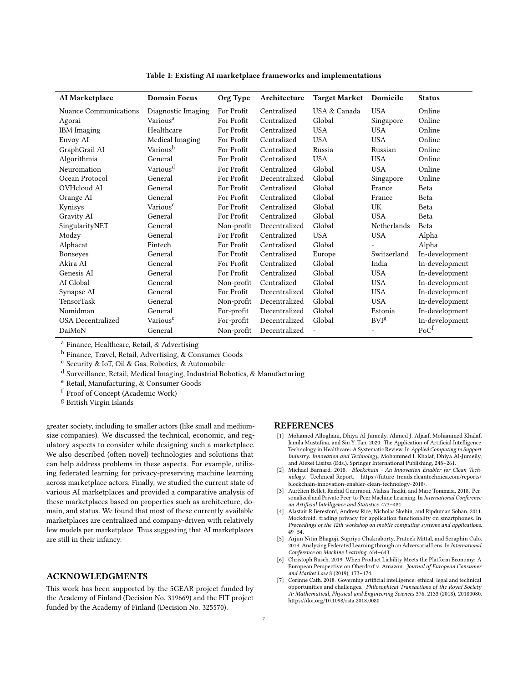<span id="page-6-7"></span>

| AI Marketplace               | <b>Domain Focus</b>  | Org Type   | Architecture  | <b>Target Market</b>     | Domicile                | <b>Status</b>    |
|------------------------------|----------------------|------------|---------------|--------------------------|-------------------------|------------------|
| <b>Nuance Communications</b> | Diagnostic Imaging   | For Profit | Centralized   | USA & Canada             | <b>USA</b>              | Online           |
| Agorai                       | Various <sup>a</sup> | For Profit | Centralized   | Global                   | Singapore               | Online           |
| <b>IBM</b> Imaging           | Healthcare           | For Profit | Centralized   | <b>USA</b>               | <b>USA</b>              | Online           |
| Envoy AI                     | Medical Imaging      | For Profit | Centralized   | <b>USA</b>               | <b>USA</b>              | Online           |
| GraphGrail AI                | Various <sup>b</sup> | For Profit | Centralized   | Russia                   | Russian                 | Online           |
| Algorithmia                  | General              | For Profit | Centralized   | <b>USA</b>               | <b>USA</b>              | Online           |
| Neuromation                  | Various <sup>d</sup> | For Profit | Centralized   | Global                   | <b>USA</b>              | Online           |
| Ocean Protocol               | General              | For Profit | Decentralized | Global                   | Singapore               | Online           |
| OVHcloud AI                  | General              | For Profit | Centralized   | Global                   | France                  | Beta             |
| Orange AI                    | General              | For Profit | Centralized   | Global                   | France                  | Beta             |
| Kynisys                      | Various <sup>c</sup> | For Profit | Centralized   | Global                   | UK                      | Beta             |
| Gravity AI                   | General              | For Profit | Centralized   | Global                   | <b>USA</b>              | Beta             |
| SingularityNET               | General              | Non-profit | Decentralized | Global                   | Netherlands             | Beta             |
| Modzy                        | General              | For Profit | Centralized   | <b>USA</b>               | <b>USA</b>              | Alpha            |
| Alphacat                     | Fintech              | For Profit | Centralized   | Global                   |                         | Alpha            |
| Bonseyes                     | General              | For Profit | Centralized   | Europe                   | Switzerland             | In-development   |
| Akira AI                     | General              | For Profit | Centralized   | Global                   | India                   | In-development   |
| Genesis AI                   | General              | For Profit | Centralized   | Global                   | <b>USA</b>              | In-development   |
| AI Global                    | General              | Non-profit | Centralized   | Global                   | <b>USA</b>              | In-development   |
| Synapse AI                   | General              | For Profit | Decentralized | Global                   | <b>USA</b>              | In-development   |
| <b>TensorTask</b>            | General              | Non-profit | Decentralized | Global                   | <b>USA</b>              | In-development   |
| Nomidman                     | General              | For-profit | Decentralized | Global                   | Estonia                 | In-development   |
| <b>OSA</b> Decentralized     | Various <sup>e</sup> | For-profit | Decentralized | Global                   | <b>BVI</b> <sup>g</sup> | In-development   |
| DaiMoN                       | General              | Non-profit | Decentralized | $\overline{\phantom{m}}$ |                         | PoC <sup>f</sup> |

Table 1: Existing AI marketplace frameworks and implementations

<sup>a</sup> Finance, Healthcare, Retail, & Advertising

<sup>b</sup> Finance, Travel, Retail, Advertising, & Consumer Goods

<sup>c</sup> Security & IoT, Oil & Gas, Robotics, & Automobile

<sup>d</sup> Surveillance, Retail, Medical Imaging, Industrial Robotics, & Manufacturing

<sup>e</sup> Retail, Manufacturing, & Consumer Goods

<sup>f</sup> Proof of Concept (Academic Work)

<sup>g</sup> British Virgin Islands

greater society, including to smaller actors (like small and mediumsize companies). We discussed the technical, economic, and regulatory aspects to consider while designing such a marketplace. We also described (often novel) technologies and solutions that can help address problems in these aspects. For example, utilizing federated learning for privacy-preserving machine learning across marketplace actors. Finally, we studied the current state of various AI marketplaces and provided a comparative analysis of these marketplaces based on properties such as architecture, domain, and status. We found that most of these currently available marketplaces are centralized and company-driven with relatively few models per marketplace. Thus suggesting that AI marketplaces are still in their infancy.

#### ACKNOWLEDGMENTS

This work has been supported by the 5GEAR project funded by the Academy of Finland (Decision No. 319669) and the FIT project funded by the Academy of Finland (Decision No. 325570).

#### REFERENCES

- <span id="page-6-0"></span>[1] Mohamed Alloghani, Dhiya Al-Jumeily, Ahmed J. Aljaaf, Mohammed Khalaf, Jamila Mustafina, and Sin Y. Tan. 2020. The Application of Artificial Intelligence Technology in Healthcare: A Systematic Review. In Applied Computing to Support Industry: Innovation and Technology, Mohammed I. Khalaf, Dhiya Al-Jumeily, and Alexei Lisitsa (Eds.). Springer International Publishing, 248–261.
- <span id="page-6-4"></span>[2] Michael Barnard. 2018. Blockchain - An Innovation Enabler for Clean Technology. Technical Report. https://future-trends.cleantechnica.com/reports/ [blockchain-innovation-enabler-clean-technology-2018/.](https://future-trends.cleantechnica.com/reports/blockchain-innovation-enabler-clean-technology-2018/)
- <span id="page-6-1"></span>[3] Aurelien Bellet, Rachid Guerraoui, Mahsa Taziki, and Marc Tommasi. 2018. Per- ´ sonalized and Private Peer-to-Peer Machine Learning. In International Conference on Artificial Intelligence and Statistics. 473-481.
- <span id="page-6-2"></span>[4] Alastair R Beresford, Andrew Rice, Nicholas Skehin, and Ripduman Sohan. 2011. Mockdroid: trading privacy for application functionality on smartphones. In Proceedings of the 12th workshop on mobile computing systems and applications. 49–54.
- <span id="page-6-3"></span>[5] Arjun Nitin Bhagoji, Supriyo Chakraborty, Prateek Mittal, and Seraphin Calo. 2019. Analyzing Federated Learning through an Adversarial Lens. In International Conference on Machine Learning. 634–643.
- <span id="page-6-6"></span>Christoph Busch. 2019. When Product Liability Meets the Platform Economy: A European Perspective on Oberdorf v. Amazon. Journal of European Consumer and Market Law 8 (2019), 173–174.
- <span id="page-6-5"></span>Corinne Cath. 2018. Governing artificial intelligence: ethical, legal and technical opportunities and challenges. Philosophical Transactions of the Royal Society A: Mathematical, Physical and Engineering Sciences 376, 2133 (2018), 20180080. https://doi.org/10.1098/rsta.2018.0080